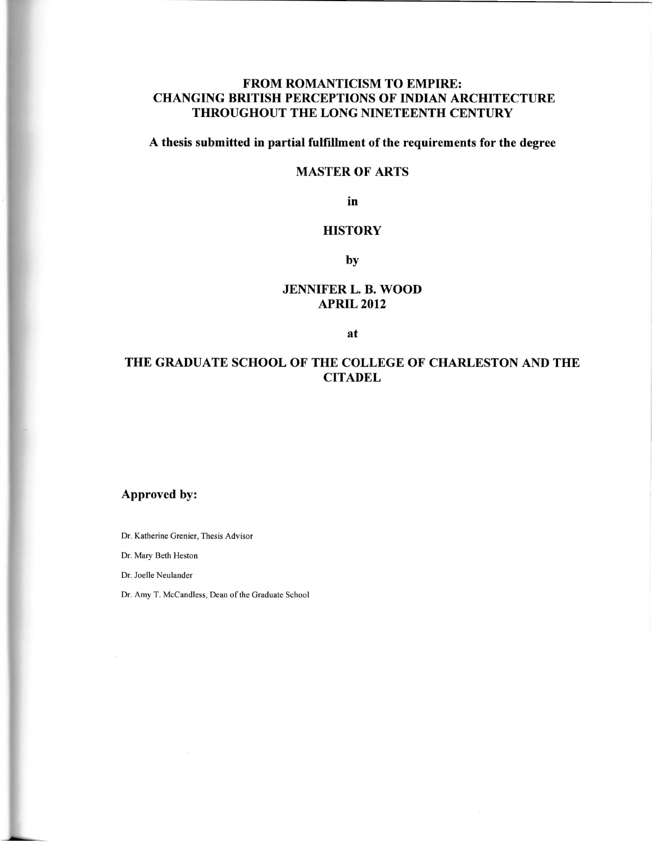## FROM ROMANTICISM TO EMPIRE: CHANGING BRITISH PERCEPTIONS OF INDIAN ARCHITECTURE THROUGHOUT THE LONG NINETEENTH CENTURY

# A thesis submitted in partial fulfillment of the requirements for the degree

## MASTER OF ARTS

in

## **HISTORY**

by

## JENNIFER L. B. WOOD APRIL 2012

at

# THE GRADUATE SCHOOL OF THE COLLEGE OF CHARLESTON AND THE **CITADEL**

# Approved by:

Dr. Katherine Grenier, Thesis Advisor

Dr. Mary Beth Heston

Dr. Joelle Neulander

Dr. Amy T. McCandless, Dean of the Graduate School